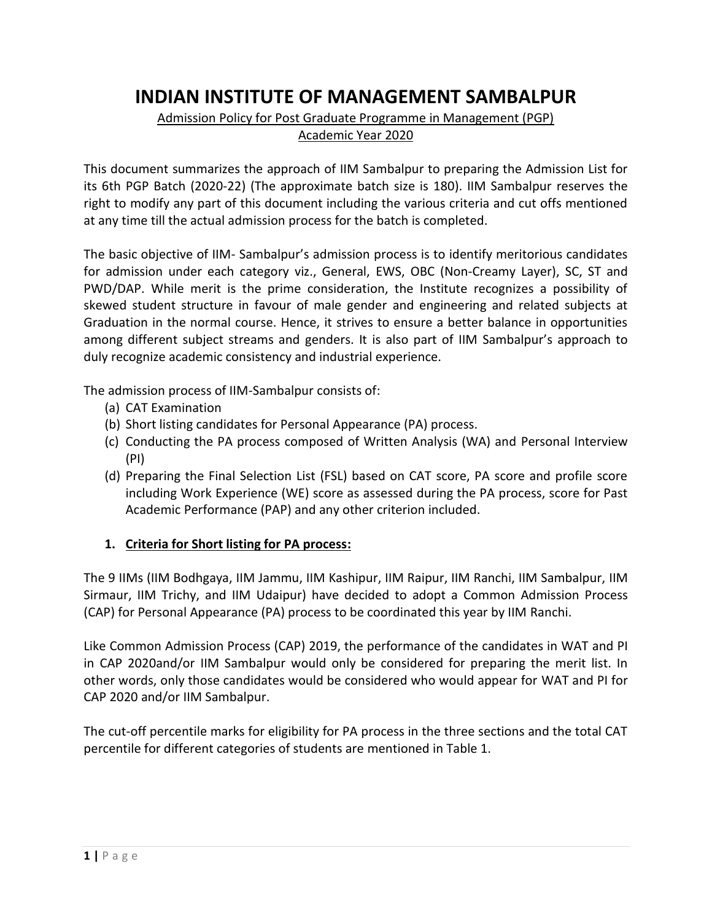# **INDIAN INSTITUTE OF MANAGEMENT SAMBALPUR**

#### Admission Policy for Post Graduate Programme in Management (PGP) Academic Year 2020

This document summarizes the approach of IIM Sambalpur to preparing the Admission List for its 6th PGP Batch (2020-22) (The approximate batch size is 180). IIM Sambalpur reserves the right to modify any part of this document including the various criteria and cut offs mentioned at any time till the actual admission process for the batch is completed.

The basic objective of IIM- Sambalpur's admission process is to identify meritorious candidates for admission under each category viz., General, EWS, OBC (Non-Creamy Layer), SC, ST and PWD/DAP. While merit is the prime consideration, the Institute recognizes a possibility of skewed student structure in favour of male gender and engineering and related subjects at Graduation in the normal course. Hence, it strives to ensure a better balance in opportunities among different subject streams and genders. It is also part of IIM Sambalpur's approach to duly recognize academic consistency and industrial experience.

The admission process of IIM-Sambalpur consists of:

- (a) CAT Examination
- (b) Short listing candidates for Personal Appearance (PA) process.
- (c) Conducting the PA process composed of Written Analysis (WA) and Personal Interview (PI)
- (d) Preparing the Final Selection List (FSL) based on CAT score, PA score and profile score including Work Experience (WE) score as assessed during the PA process, score for Past Academic Performance (PAP) and any other criterion included.

## **1. Criteria for Short listing for PA process:**

The 9 IIMs (IIM Bodhgaya, IIM Jammu, IIM Kashipur, IIM Raipur, IIM Ranchi, IIM Sambalpur, IIM Sirmaur, IIM Trichy, and IIM Udaipur) have decided to adopt a Common Admission Process (CAP) for Personal Appearance (PA) process to be coordinated this year by IIM Ranchi.

Like Common Admission Process (CAP) 2019, the performance of the candidates in WAT and PI in CAP 2020and/or IIM Sambalpur would only be considered for preparing the merit list. In other words, only those candidates would be considered who would appear for WAT and PI for CAP 2020 and/or IIM Sambalpur.

The cut-off percentile marks for eligibility for PA process in the three sections and the total CAT percentile for different categories of students are mentioned in Table 1.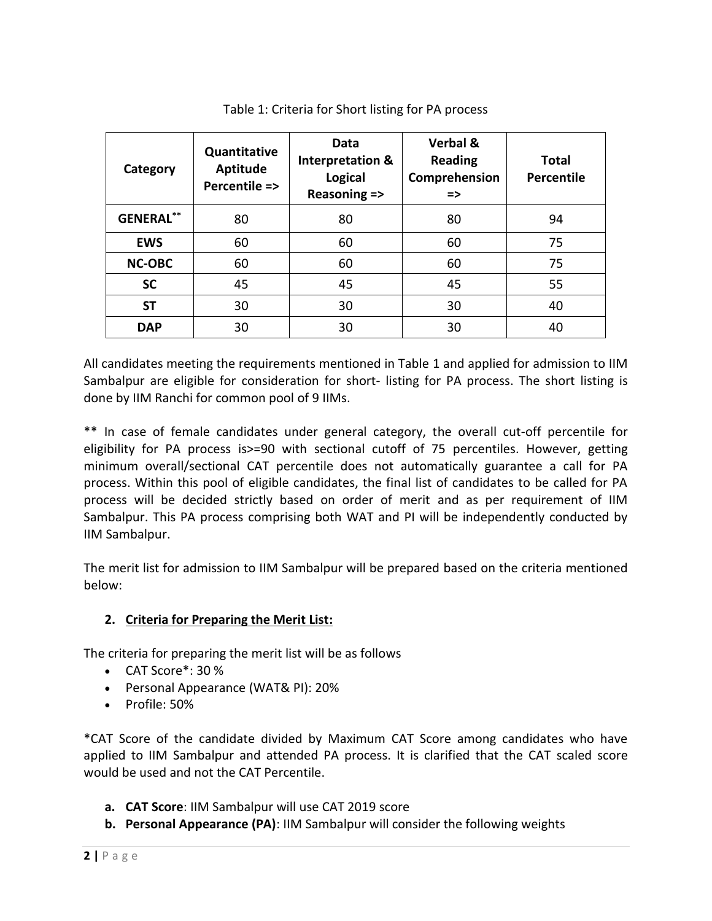| Category         | Quantitative<br>Aptitude<br>Percentile => | Data<br><b>Interpretation &amp;</b><br><b>Logical</b><br>Reasoning => | <b>Verbal &amp;</b><br><b>Reading</b><br>Comprehension<br>$\Rightarrow$ | Total<br>Percentile |
|------------------|-------------------------------------------|-----------------------------------------------------------------------|-------------------------------------------------------------------------|---------------------|
| <b>GENERAL**</b> | 80                                        | 80                                                                    | 80                                                                      | 94                  |
| <b>EWS</b>       | 60                                        | 60                                                                    | 60                                                                      | 75                  |
| <b>NC-OBC</b>    | 60                                        | 60                                                                    | 60                                                                      | 75                  |
| <b>SC</b>        | 45                                        | 45                                                                    | 45                                                                      | 55                  |
| SΤ               | 30                                        | 30                                                                    | 30                                                                      | 40                  |
| <b>DAP</b>       | 30                                        | 30                                                                    | 30                                                                      | 40                  |

Table 1: Criteria for Short listing for PA process

All candidates meeting the requirements mentioned in Table 1 and applied for admission to IIM Sambalpur are eligible for consideration for short- listing for PA process. The short listing is done by IIM Ranchi for common pool of 9 IIMs.

\*\* In case of female candidates under general category, the overall cut-off percentile for eligibility for PA process is>=90 with sectional cutoff of 75 percentiles. However, getting minimum overall/sectional CAT percentile does not automatically guarantee a call for PA process. Within this pool of eligible candidates, the final list of candidates to be called for PA process will be decided strictly based on order of merit and as per requirement of IIM Sambalpur. This PA process comprising both WAT and PI will be independently conducted by IIM Sambalpur.

The merit list for admission to IIM Sambalpur will be prepared based on the criteria mentioned below:

# **2. Criteria for Preparing the Merit List:**

The criteria for preparing the merit list will be as follows

- CAT Score\*: 30 %
- Personal Appearance (WAT& PI): 20%
- Profile: 50%

\*CAT Score of the candidate divided by Maximum CAT Score among candidates who have applied to IIM Sambalpur and attended PA process. It is clarified that the CAT scaled score would be used and not the CAT Percentile.

- **a. CAT Score**: IIM Sambalpur will use CAT 2019 score
- **b. Personal Appearance (PA)**: IIM Sambalpur will consider the following weights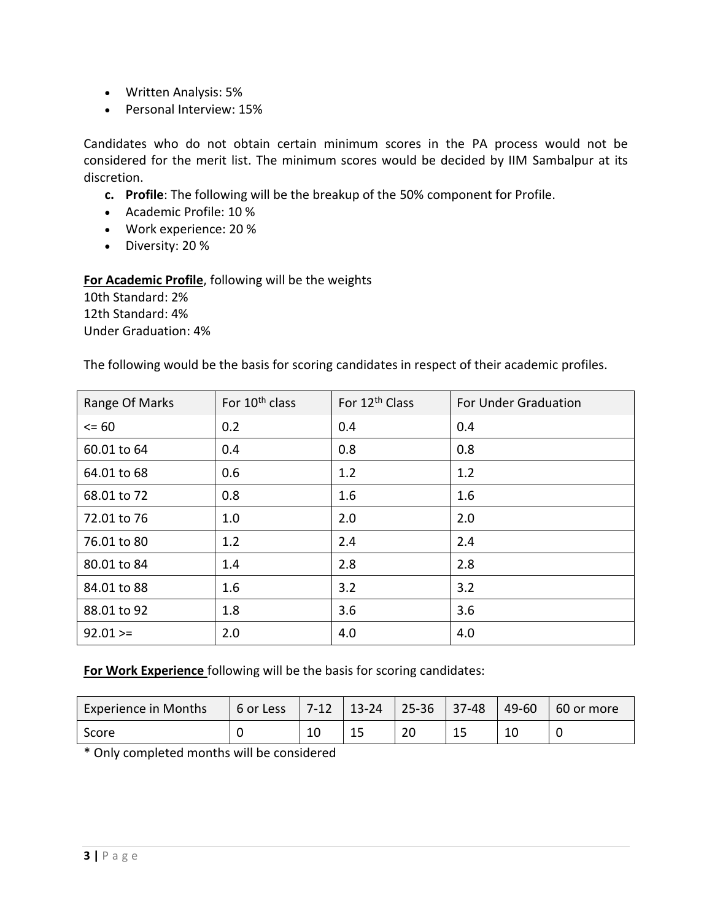- Written Analysis: 5%
- Personal Interview: 15%

Candidates who do not obtain certain minimum scores in the PA process would not be considered for the merit list. The minimum scores would be decided by IIM Sambalpur at its discretion.

- **c. Profile**: The following will be the breakup of the 50% component for Profile.
- Academic Profile: 10 %
- Work experience: 20 %
- Diversity: 20 %

#### **For Academic Profile**, following will be the weights

10th Standard: 2% 12th Standard: 4% Under Graduation: 4%

The following would be the basis for scoring candidates in respect of their academic profiles.

| Range Of Marks | For 10 <sup>th</sup> class | For 12 <sup>th</sup> Class | <b>For Under Graduation</b> |
|----------------|----------------------------|----------------------------|-----------------------------|
| $= 60$         | 0.2                        | 0.4                        | 0.4                         |
| 60.01 to 64    | 0.4                        | 0.8                        | 0.8                         |
| 64.01 to 68    | 0.6                        | 1.2                        | 1.2                         |
| 68.01 to 72    | 0.8                        | 1.6                        | 1.6                         |
| 72.01 to 76    | 1.0                        | 2.0                        | 2.0                         |
| 76.01 to 80    | 1.2                        | 2.4                        | 2.4                         |
| 80.01 to 84    | 1.4                        | 2.8                        | 2.8                         |
| 84.01 to 88    | 1.6                        | 3.2                        | 3.2                         |
| 88.01 to 92    | 1.8                        | 3.6                        | 3.6                         |
| $92.01 >=$     | 2.0                        | 4.0                        | 4.0                         |

**For Work Experience** following will be the basis for scoring candidates:

| <b>Experience in Months</b> | 6 or Less |    | $7-12$   $13-24$   $25-36$   37-48 |    |    | 49-60 | 60 or more |
|-----------------------------|-----------|----|------------------------------------|----|----|-------|------------|
| Score                       |           | τn | ᅩ                                  | 20 | 15 |       |            |

\* Only completed months will be considered